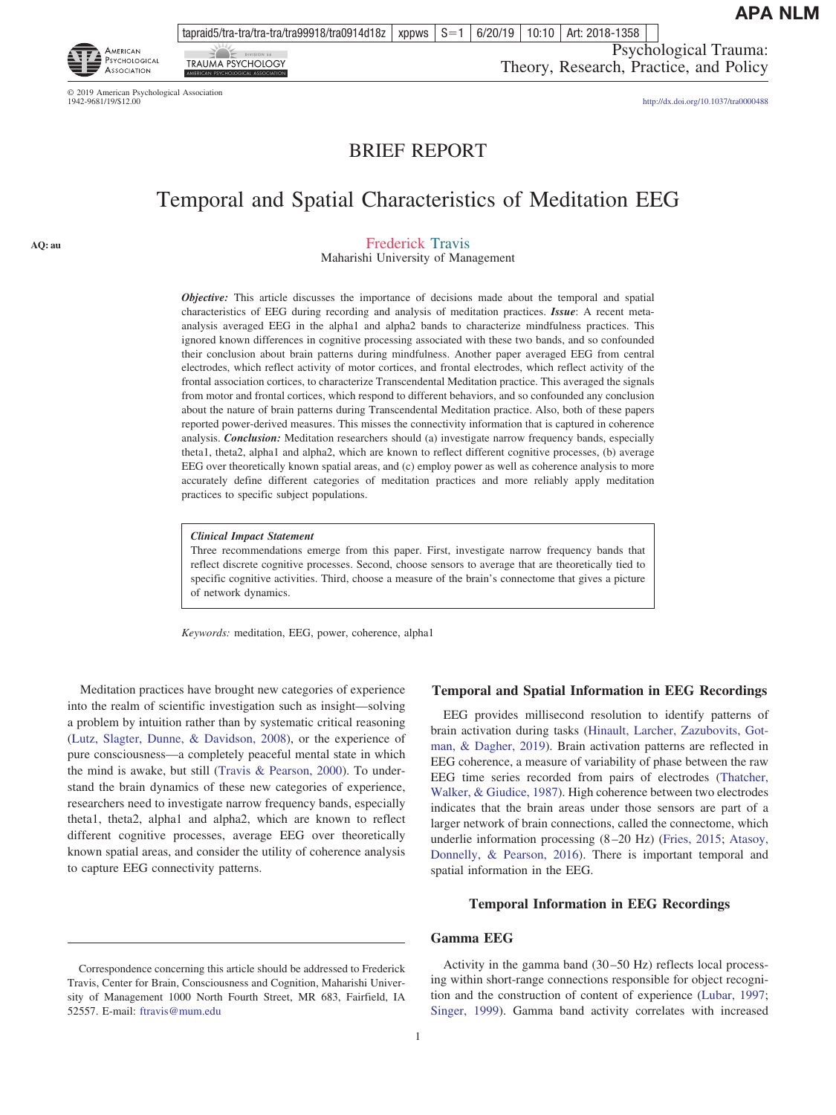tapraid5/tra-tra/tra-tra/tra99918/tra0914d18z | xppws  $\mid S=1$ 6/20/19 10:10 Art: 2018-1358

Psychological Trauma: Theory, Research, Practice, and Policy

© 2019 American Psychological Association<br>1942-9681/19/\$12.00

**TRAUMA PSYCHOLOGY** 

AMERICAN PSYCHOLOGICAL

**ASSOCIATION** 

**AQ: au**

http://dx.doi.org[/10.1037/tra0000488](http://dx.doi.org/10.1037/tra0000488)

# BRIEF REPORT

# Temporal and Spatial Characteristics of Meditation EEG

Frederick Travis

Maharishi University of Management

*Objective:* This article discusses the importance of decisions made about the temporal and spatial characteristics of EEG during recording and analysis of meditation practices. *Issue*: A recent metaanalysis averaged EEG in the alpha1 and alpha2 bands to characterize mindfulness practices. This ignored known differences in cognitive processing associated with these two bands, and so confounded their conclusion about brain patterns during mindfulness. Another paper averaged EEG from central electrodes, which reflect activity of motor cortices, and frontal electrodes, which reflect activity of the frontal association cortices, to characterize Transcendental Meditation practice. This averaged the signals from motor and frontal cortices, which respond to different behaviors, and so confounded any conclusion about the nature of brain patterns during Transcendental Meditation practice. Also, both of these papers reported power-derived measures. This misses the connectivity information that is captured in coherence analysis. *Conclusion:* Meditation researchers should (a) investigate narrow frequency bands, especially theta1, theta2, alpha1 and alpha2, which are known to reflect different cognitive processes, (b) average EEG over theoretically known spatial areas, and (c) employ power as well as coherence analysis to more accurately define different categories of meditation practices and more reliably apply meditation practices to specific subject populations.

#### *Clinical Impact Statement*

Three recommendations emerge from this paper. First, investigate narrow frequency bands that reflect discrete cognitive processes. Second, choose sensors to average that are theoretically tied to specific cognitive activities. Third, choose a measure of the brain's connectome that gives a picture of network dynamics.

*Keywords:* meditation, EEG, power, coherence, alpha1

Meditation practices have brought new categories of experience into the realm of scientific investigation such as insight—solving a problem by intuition rather than by systematic critical reasoning [\(Lutz, Slagter, Dunne, & Davidson, 2008\)](#page-3-0), or the experience of pure consciousness—a completely peaceful mental state in which the mind is awake, but still [\(Travis & Pearson, 2000\)](#page-4-0). To understand the brain dynamics of these new categories of experience, researchers need to investigate narrow frequency bands, especially theta1, theta2, alpha1 and alpha2, which are known to reflect different cognitive processes, average EEG over theoretically known spatial areas, and consider the utility of coherence analysis to capture EEG connectivity patterns.

# 1

## **Temporal and Spatial Information in EEG Recordings**

EEG provides millisecond resolution to identify patterns of brain activation during tasks [\(Hinault, Larcher, Zazubovits, Got](#page-3-0)[man, & Dagher, 2019\)](#page-3-0). Brain activation patterns are reflected in EEG coherence, a measure of variability of phase between the raw EEG time series recorded from pairs of electrodes [\(Thatcher,](#page-4-0) [Walker, & Giudice, 1987\)](#page-4-0). High coherence between two electrodes indicates that the brain areas under those sensors are part of a larger network of brain connections, called the connectome, which underlie information processing (8 –20 Hz) [\(Fries, 2015;](#page-3-0) [Atasoy,](#page-3-0) [Donnelly, & Pearson, 2016\)](#page-3-0). There is important temporal and spatial information in the EEG.

# **Temporal Information in EEG Recordings**

# **Gamma EEG**

Activity in the gamma band (30 –50 Hz) reflects local processing within short-range connections responsible for object recognition and the construction of content of experience [\(Lubar, 1997;](#page-3-0) [Singer, 1999\)](#page-4-0). Gamma band activity correlates with increased

Correspondence concerning this article should be addressed to Frederick Travis, Center for Brain, Consciousness and Cognition, Maharishi University of Management 1000 North Fourth Street, MR 683, Fairfield, IA 52557. E-mail: [ftravis@mum.edu](mailto:ftravis@mum.edu)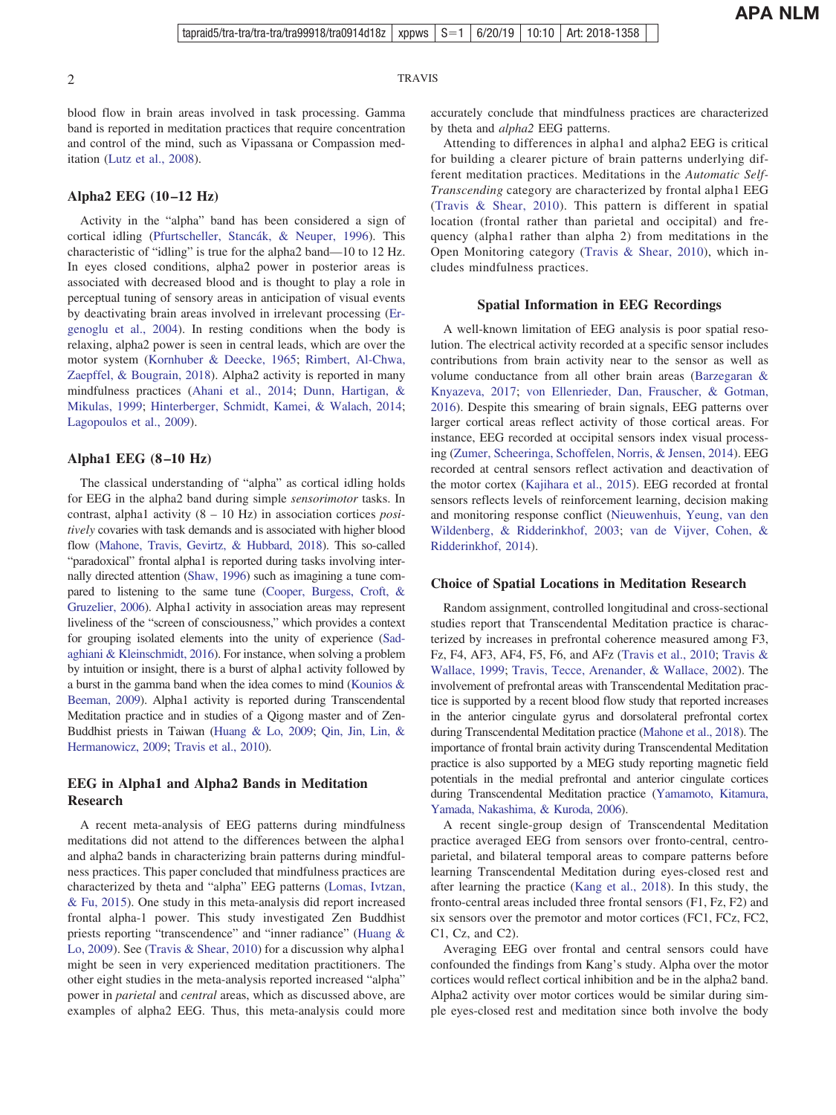2 TRAVIS

blood flow in brain areas involved in task processing. Gamma band is reported in meditation practices that require concentration and control of the mind, such as Vipassana or Compassion meditation [\(Lutz et al., 2008\)](#page-3-0).

# **Alpha2 EEG (10 –12 Hz)**

Activity in the "alpha" band has been considered a sign of cortical idling [\(Pfurtscheller, Stancák, & Neuper, 1996\)](#page-4-0). This characteristic of "idling" is true for the alpha2 band—10 to 12 Hz. In eyes closed conditions, alpha2 power in posterior areas is associated with decreased blood and is thought to play a role in perceptual tuning of sensory areas in anticipation of visual events by deactivating brain areas involved in irrelevant processing [\(Er](#page-3-0)[genoglu et al., 2004\)](#page-3-0). In resting conditions when the body is relaxing, alpha2 power is seen in central leads, which are over the motor system [\(Kornhuber & Deecke, 1965;](#page-3-0) [Rimbert, Al-Chwa,](#page-4-0) [Zaepffel, & Bougrain, 2018\)](#page-4-0). Alpha2 activity is reported in many mindfulness practices [\(Ahani et al., 2014;](#page-3-0) [Dunn, Hartigan, &](#page-3-0) [Mikulas, 1999;](#page-3-0) [Hinterberger, Schmidt, Kamei, & Walach, 2014;](#page-3-0) [Lagopoulos et al., 2009\)](#page-3-0).

# **Alpha1 EEG (8 –10 Hz)**

The classical understanding of "alpha" as cortical idling holds for EEG in the alpha2 band during simple *sensorimotor* tasks. In contrast, alpha1 activity (8 – 10 Hz) in association cortices *positively* covaries with task demands and is associated with higher blood flow [\(Mahone, Travis, Gevirtz, & Hubbard, 2018\)](#page-4-0). This so-called "paradoxical" frontal alpha1 is reported during tasks involving internally directed attention [\(Shaw, 1996\)](#page-4-0) such as imagining a tune compared to listening to the same tune [\(Cooper, Burgess, Croft, &](#page-3-0) [Gruzelier, 2006\)](#page-3-0). Alpha1 activity in association areas may represent liveliness of the "screen of consciousness," which provides a context for grouping isolated elements into the unity of experience [\(Sad](#page-4-0)[aghiani & Kleinschmidt, 2016\)](#page-4-0). For instance, when solving a problem by intuition or insight, there is a burst of alpha1 activity followed by a burst in the gamma band when the idea comes to mind [\(Kounios &](#page-3-0) [Beeman, 2009\)](#page-3-0). Alpha1 activity is reported during Transcendental Meditation practice and in studies of a Qigong master and of Zen-Buddhist priests in Taiwan [\(Huang & Lo, 2009;](#page-3-0) [Qin, Jin, Lin, &](#page-4-0) [Hermanowicz, 2009;](#page-4-0) [Travis et al., 2010\)](#page-4-0).

# **EEG in Alpha1 and Alpha2 Bands in Meditation Research**

A recent meta-analysis of EEG patterns during mindfulness meditations did not attend to the differences between the alpha1 and alpha2 bands in characterizing brain patterns during mindfulness practices. This paper concluded that mindfulness practices are characterized by theta and "alpha" EEG patterns [\(Lomas, Ivtzan,](#page-3-0) [& Fu, 2015\)](#page-3-0). One study in this meta-analysis did report increased frontal alpha-1 power. This study investigated Zen Buddhist priests reporting "transcendence" and "inner radiance" [\(Huang &](#page-3-0) [Lo, 2009\)](#page-3-0). See [\(Travis & Shear, 2010\)](#page-4-0) for a discussion why alpha1 might be seen in very experienced meditation practitioners. The other eight studies in the meta-analysis reported increased "alpha" power in *parietal* and *central* areas, which as discussed above, are examples of alpha2 EEG. Thus, this meta-analysis could more accurately conclude that mindfulness practices are characterized by theta and *alpha2* EEG patterns.

Attending to differences in alpha1 and alpha2 EEG is critical for building a clearer picture of brain patterns underlying different meditation practices. Meditations in the *Automatic Self-Transcending* category are characterized by frontal alpha1 EEG [\(Travis & Shear, 2010\)](#page-4-0). This pattern is different in spatial location (frontal rather than parietal and occipital) and frequency (alpha1 rather than alpha 2) from meditations in the Open Monitoring category [\(Travis & Shear, 2010\)](#page-4-0), which includes mindfulness practices.

# **Spatial Information in EEG Recordings**

A well-known limitation of EEG analysis is poor spatial resolution. The electrical activity recorded at a specific sensor includes contributions from brain activity near to the sensor as well as volume conductance from all other brain areas [\(Barzegaran &](#page-3-0) [Knyazeva, 2017;](#page-3-0) [von Ellenrieder, Dan, Frauscher, & Gotman,](#page-4-0) [2016\)](#page-4-0). Despite this smearing of brain signals, EEG patterns over larger cortical areas reflect activity of those cortical areas. For instance, EEG recorded at occipital sensors index visual processing [\(Zumer, Scheeringa, Schoffelen, Norris, & Jensen, 2014\)](#page-4-0). EEG recorded at central sensors reflect activation and deactivation of the motor cortex [\(Kajihara et al., 2015\)](#page-3-0). EEG recorded at frontal sensors reflects levels of reinforcement learning, decision making and monitoring response conflict [\(Nieuwenhuis, Yeung, van den](#page-4-0) [Wildenberg, & Ridderinkhof, 2003;](#page-4-0) [van de Vijver, Cohen, &](#page-4-0) [Ridderinkhof, 2014\)](#page-4-0).

#### **Choice of Spatial Locations in Meditation Research**

Random assignment, controlled longitudinal and cross-sectional studies report that Transcendental Meditation practice is characterized by increases in prefrontal coherence measured among F3, Fz, F4, AF3, AF4, F5, F6, and AFz [\(Travis et al., 2010;](#page-4-0) [Travis &](#page-4-0) [Wallace, 1999;](#page-4-0) [Travis, Tecce, Arenander, & Wallace, 2002\)](#page-4-0). The involvement of prefrontal areas with Transcendental Meditation practice is supported by a recent blood flow study that reported increases in the anterior cingulate gyrus and dorsolateral prefrontal cortex during Transcendental Meditation practice [\(Mahone et al., 2018\)](#page-4-0). The importance of frontal brain activity during Transcendental Meditation practice is also supported by a MEG study reporting magnetic field potentials in the medial prefrontal and anterior cingulate cortices during Transcendental Meditation practice [\(Yamamoto, Kitamura,](#page-4-0) [Yamada, Nakashima, & Kuroda, 2006\)](#page-4-0).

A recent single-group design of Transcendental Meditation practice averaged EEG from sensors over fronto-central, centroparietal, and bilateral temporal areas to compare patterns before learning Transcendental Meditation during eyes-closed rest and after learning the practice [\(Kang et al., 2018\)](#page-3-0). In this study, the fronto-central areas included three frontal sensors (F1, Fz, F2) and six sensors over the premotor and motor cortices (FC1, FCz, FC2, C1, Cz, and C2).

Averaging EEG over frontal and central sensors could have confounded the findings from Kang's study. Alpha over the motor cortices would reflect cortical inhibition and be in the alpha2 band. Alpha2 activity over motor cortices would be similar during simple eyes-closed rest and meditation since both involve the body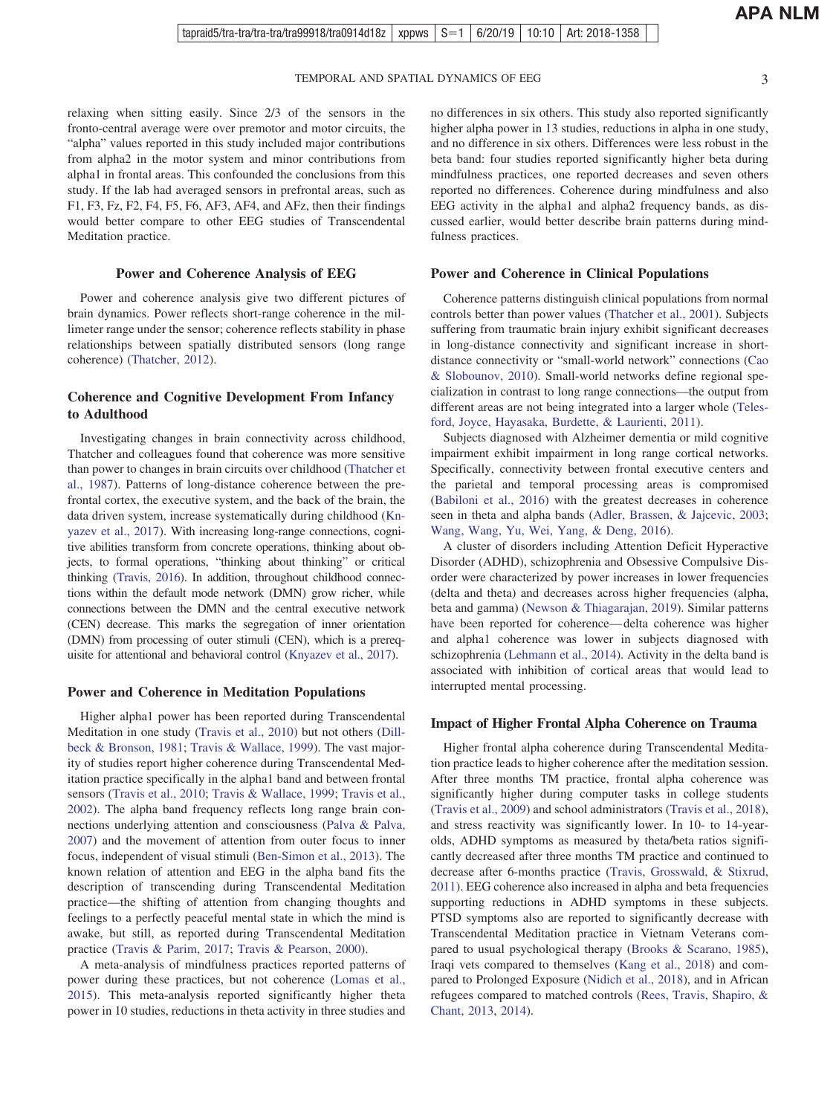TEMPORAL AND SPATIAL DYNAMICS OF EEG 3

relaxing when sitting easily. Since 2/3 of the sensors in the fronto-central average were over premotor and motor circuits, the "alpha" values reported in this study included major contributions from alpha2 in the motor system and minor contributions from alpha1 in frontal areas. This confounded the conclusions from this study. If the lab had averaged sensors in prefrontal areas, such as F1, F3, Fz, F2, F4, F5, F6, AF3, AF4, and AFz, then their findings would better compare to other EEG studies of Transcendental Meditation practice.

## **Power and Coherence Analysis of EEG**

Power and coherence analysis give two different pictures of brain dynamics. Power reflects short-range coherence in the millimeter range under the sensor; coherence reflects stability in phase relationships between spatially distributed sensors (long range coherence) [\(Thatcher, 2012\)](#page-4-0).

# **Coherence and Cognitive Development From Infancy to Adulthood**

Investigating changes in brain connectivity across childhood, Thatcher and colleagues found that coherence was more sensitive than power to changes in brain circuits over childhood [\(Thatcher et](#page-4-0) [al., 1987\)](#page-4-0). Patterns of long-distance coherence between the prefrontal cortex, the executive system, and the back of the brain, the data driven system, increase systematically during childhood [\(Kn](#page-3-0)[yazev et al., 2017\)](#page-3-0). With increasing long-range connections, cognitive abilities transform from concrete operations, thinking about objects, to formal operations, "thinking about thinking" or critical thinking [\(Travis, 2016\)](#page-4-0). In addition, throughout childhood connections within the default mode network (DMN) grow richer, while connections between the DMN and the central executive network (CEN) decrease. This marks the segregation of inner orientation (DMN) from processing of outer stimuli (CEN), which is a prerequisite for attentional and behavioral control [\(Knyazev et al., 2017\)](#page-3-0).

#### **Power and Coherence in Meditation Populations**

Higher alpha1 power has been reported during Transcendental Meditation in one study [\(Travis et al., 2010\)](#page-4-0) but not others [\(Dill](#page-3-0)[beck & Bronson, 1981;](#page-3-0) [Travis & Wallace, 1999\)](#page-4-0). The vast majority of studies report higher coherence during Transcendental Meditation practice specifically in the alpha1 band and between frontal sensors [\(Travis et al., 2010;](#page-4-0) [Travis & Wallace, 1999;](#page-4-0) [Travis et al.,](#page-4-0) [2002\)](#page-4-0). The alpha band frequency reflects long range brain connections underlying attention and consciousness [\(Palva & Palva,](#page-4-0) [2007\)](#page-4-0) and the movement of attention from outer focus to inner focus, independent of visual stimuli [\(Ben-Simon et al., 2013\)](#page-3-0). The known relation of attention and EEG in the alpha band fits the description of transcending during Transcendental Meditation practice—the shifting of attention from changing thoughts and feelings to a perfectly peaceful mental state in which the mind is awake, but still, as reported during Transcendental Meditation practice [\(Travis & Parim, 2017;](#page-4-0) [Travis & Pearson, 2000\)](#page-4-0).

A meta-analysis of mindfulness practices reported patterns of power during these practices, but not coherence [\(Lomas et al.,](#page-3-0) [2015\)](#page-3-0). This meta-analysis reported significantly higher theta power in 10 studies, reductions in theta activity in three studies and

no differences in six others. This study also reported significantly higher alpha power in 13 studies, reductions in alpha in one study, and no difference in six others. Differences were less robust in the beta band: four studies reported significantly higher beta during mindfulness practices, one reported decreases and seven others reported no differences. Coherence during mindfulness and also EEG activity in the alpha1 and alpha2 frequency bands, as discussed earlier, would better describe brain patterns during mindfulness practices.

## **Power and Coherence in Clinical Populations**

Coherence patterns distinguish clinical populations from normal controls better than power values [\(Thatcher et al., 2001\)](#page-4-0). Subjects suffering from traumatic brain injury exhibit significant decreases in long-distance connectivity and significant increase in shortdistance connectivity or "small-world network" connections [\(Cao](#page-3-0) [& Slobounov, 2010\)](#page-3-0). Small-world networks define regional specialization in contrast to long range connections—the output from different areas are not being integrated into a larger whole [\(Teles](#page-4-0)[ford, Joyce, Hayasaka, Burdette, & Laurienti, 2011\)](#page-4-0).

Subjects diagnosed with Alzheimer dementia or mild cognitive impairment exhibit impairment in long range cortical networks. Specifically, connectivity between frontal executive centers and the parietal and temporal processing areas is compromised [\(Babiloni et al., 2016\)](#page-3-0) with the greatest decreases in coherence seen in theta and alpha bands [\(Adler, Brassen, & Jajcevic, 2003;](#page-3-0) [Wang, Wang, Yu, Wei, Yang, & Deng, 2016\)](#page-4-0).

A cluster of disorders including Attention Deficit Hyperactive Disorder (ADHD), schizophrenia and Obsessive Compulsive Disorder were characterized by power increases in lower frequencies (delta and theta) and decreases across higher frequencies (alpha, beta and gamma) [\(Newson & Thiagarajan, 2019\)](#page-4-0). Similar patterns have been reported for coherence— delta coherence was higher and alpha1 coherence was lower in subjects diagnosed with schizophrenia [\(Lehmann et al., 2014\)](#page-3-0). Activity in the delta band is associated with inhibition of cortical areas that would lead to interrupted mental processing.

#### **Impact of Higher Frontal Alpha Coherence on Trauma**

Higher frontal alpha coherence during Transcendental Meditation practice leads to higher coherence after the meditation session. After three months TM practice, frontal alpha coherence was significantly higher during computer tasks in college students [\(Travis et al., 2009\)](#page-4-0) and school administrators [\(Travis et al., 2018\)](#page-4-0), and stress reactivity was significantly lower. In 10- to 14-yearolds, ADHD symptoms as measured by theta/beta ratios significantly decreased after three months TM practice and continued to decrease after 6-months practice [\(Travis, Grosswald, & Stixrud,](#page-4-0) [2011\)](#page-4-0). EEG coherence also increased in alpha and beta frequencies supporting reductions in ADHD symptoms in these subjects. PTSD symptoms also are reported to significantly decrease with Transcendental Meditation practice in Vietnam Veterans compared to usual psychological therapy [\(Brooks & Scarano, 1985\)](#page-3-0), Iraqi vets compared to themselves [\(Kang et al., 2018\)](#page-3-0) and compared to Prolonged Exposure [\(Nidich et al., 2018\)](#page-4-0), and in African refugees compared to matched controls [\(Rees, Travis, Shapiro, &](#page-4-0) [Chant, 2013,](#page-4-0) [2014\)](#page-4-0).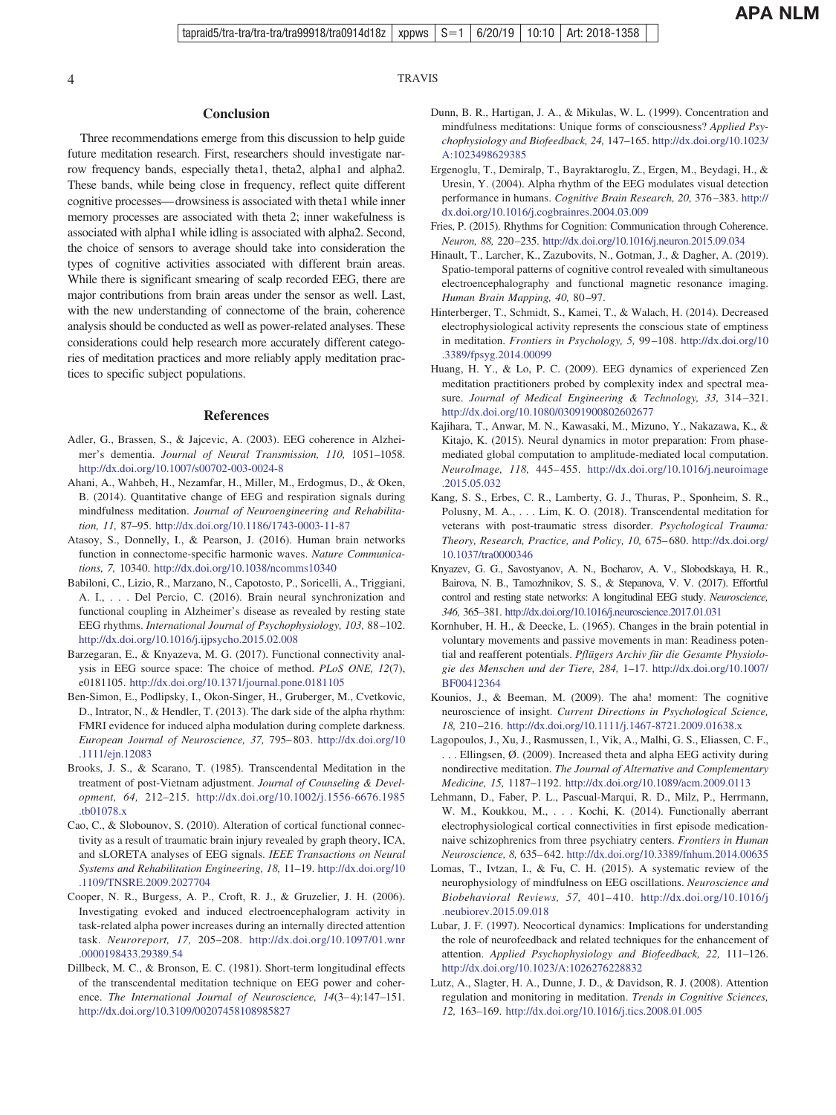# <span id="page-3-0"></span>4 TRAVIS

#### **Conclusion**

Three recommendations emerge from this discussion to help guide future meditation research. First, researchers should investigate narrow frequency bands, especially theta1, theta2, alpha1 and alpha2. These bands, while being close in frequency, reflect quite different cognitive processes— drowsiness is associated with theta1 while inner memory processes are associated with theta 2; inner wakefulness is associated with alpha1 while idling is associated with alpha2. Second, the choice of sensors to average should take into consideration the types of cognitive activities associated with different brain areas. While there is significant smearing of scalp recorded EEG, there are major contributions from brain areas under the sensor as well. Last, with the new understanding of connectome of the brain, coherence analysis should be conducted as well as power-related analyses. These considerations could help research more accurately different categories of meditation practices and more reliably apply meditation practices to specific subject populations.

### **References**

- Adler, G., Brassen, S., & Jajcevic, A. (2003). EEG coherence in Alzheimer's dementia. *Journal of Neural Transmission, 110,* 1051–1058. <http://dx.doi.org/10.1007/s00702-003-0024-8>
- Ahani, A., Wahbeh, H., Nezamfar, H., Miller, M., Erdogmus, D., & Oken, B. (2014). Quantitative change of EEG and respiration signals during mindfulness meditation. *Journal of Neuroengineering and Rehabilitation, 11,* 87–95. <http://dx.doi.org/10.1186/1743-0003-11-87>
- Atasoy, S., Donnelly, I., & Pearson, J. (2016). Human brain networks function in connectome-specific harmonic waves. *Nature Communications, 7,* 10340. <http://dx.doi.org/10.1038/ncomms10340>
- Babiloni, C., Lizio, R., Marzano, N., Capotosto, P., Soricelli, A., Triggiani, A. I., . . . Del Percio, C. (2016). Brain neural synchronization and functional coupling in Alzheimer's disease as revealed by resting state EEG rhythms. *International Journal of Psychophysiology, 103,* 88 –102. <http://dx.doi.org/10.1016/j.ijpsycho.2015.02.008>
- Barzegaran, E., & Knyazeva, M. G. (2017). Functional connectivity analysis in EEG source space: The choice of method. *PLoS ONE, 12*(7), e0181105. <http://dx.doi.org/10.1371/journal.pone.0181105>
- Ben-Simon, E., Podlipsky, I., Okon-Singer, H., Gruberger, M., Cvetkovic, D., Intrator, N., & Hendler, T. (2013). The dark side of the alpha rhythm: FMRI evidence for induced alpha modulation during complete darkness. *European Journal of Neuroscience, 37,* 795– 803. [http://dx.doi.org/10](http://dx.doi.org/10.1111/ejn.12083) [.1111/ejn.12083](http://dx.doi.org/10.1111/ejn.12083)
- Brooks, J. S., & Scarano, T. (1985). Transcendental Meditation in the treatment of post-Vietnam adjustment. *Journal of Counseling & Development, 64,* 212–215. [http://dx.doi.org/10.1002/j.1556-6676.1985](http://dx.doi.org/10.1002/j.1556-6676.1985.tb01078.x) [.tb01078.x](http://dx.doi.org/10.1002/j.1556-6676.1985.tb01078.x)
- Cao, C., & Slobounov, S. (2010). Alteration of cortical functional connectivity as a result of traumatic brain injury revealed by graph theory, ICA, and sLORETA analyses of EEG signals. *IEEE Transactions on Neural Systems and Rehabilitation Engineering, 18,* 11–19. [http://dx.doi.org/10](http://dx.doi.org/10.1109/TNSRE.2009.2027704) [.1109/TNSRE.2009.2027704](http://dx.doi.org/10.1109/TNSRE.2009.2027704)
- Cooper, N. R., Burgess, A. P., Croft, R. J., & Gruzelier, J. H. (2006). Investigating evoked and induced electroencephalogram activity in task-related alpha power increases during an internally directed attention task. *Neuroreport, 17,* 205–208. [http://dx.doi.org/10.1097/01.wnr](http://dx.doi.org/10.1097/01.wnr.0000198433.29389.54) [.0000198433.29389.54](http://dx.doi.org/10.1097/01.wnr.0000198433.29389.54)
- Dillbeck, M. C., & Bronson, E. C. (1981). Short-term longitudinal effects of the transcendental meditation technique on EEG power and coherence. *The International Journal of Neuroscience*,  $14(3-4)$ :147-151. <http://dx.doi.org/10.3109/00207458108985827>
- Dunn, B. R., Hartigan, J. A., & Mikulas, W. L. (1999). Concentration and mindfulness meditations: Unique forms of consciousness? *Applied Psychophysiology and Biofeedback, 24,* 147–165. [http://dx.doi.org/10.1023/](http://dx.doi.org/10.1023/A:1023498629385) [A:1023498629385](http://dx.doi.org/10.1023/A:1023498629385)
- Ergenoglu, T., Demiralp, T., Bayraktaroglu, Z., Ergen, M., Beydagi, H., & Uresin, Y. (2004). Alpha rhythm of the EEG modulates visual detection performance in humans. *Cognitive Brain Research, 20,* 376 –383. [http://](http://dx.doi.org/10.1016/j.cogbrainres.2004.03.009) [dx.doi.org/10.1016/j.cogbrainres.2004.03.009](http://dx.doi.org/10.1016/j.cogbrainres.2004.03.009)
- Fries, P. (2015). Rhythms for Cognition: Communication through Coherence. *Neuron, 88,* 220 –235. <http://dx.doi.org/10.1016/j.neuron.2015.09.034>
- Hinault, T., Larcher, K., Zazubovits, N., Gotman, J., & Dagher, A. (2019). Spatio-temporal patterns of cognitive control revealed with simultaneous electroencephalography and functional magnetic resonance imaging. *Human Brain Mapping, 40,* 80 –97.
- Hinterberger, T., Schmidt, S., Kamei, T., & Walach, H. (2014). Decreased electrophysiological activity represents the conscious state of emptiness in meditation. *Frontiers in Psychology, 5,* 99 –108. [http://dx.doi.org/10](http://dx.doi.org/10.3389/fpsyg.2014.00099) [.3389/fpsyg.2014.00099](http://dx.doi.org/10.3389/fpsyg.2014.00099)
- Huang, H. Y., & Lo, P. C. (2009). EEG dynamics of experienced Zen meditation practitioners probed by complexity index and spectral measure. *Journal of Medical Engineering & Technology, 33,* 314 –321. <http://dx.doi.org/10.1080/03091900802602677>
- Kajihara, T., Anwar, M. N., Kawasaki, M., Mizuno, Y., Nakazawa, K., & Kitajo, K. (2015). Neural dynamics in motor preparation: From phasemediated global computation to amplitude-mediated local computation. *NeuroImage, 118,* 445– 455. [http://dx.doi.org/10.1016/j.neuroimage](http://dx.doi.org/10.1016/j.neuroimage.2015.05.032) [.2015.05.032](http://dx.doi.org/10.1016/j.neuroimage.2015.05.032)
- Kang, S. S., Erbes, C. R., Lamberty, G. J., Thuras, P., Sponheim, S. R., Polusny, M. A.,... Lim, K. O. (2018). Transcendental meditation for veterans with post-traumatic stress disorder. *Psychological Trauma: Theory, Research, Practice, and Policy, 10,* 675– 680. [http://dx.doi.org/](http://dx.doi.org/10.1037/tra0000346) [10.1037/tra0000346](http://dx.doi.org/10.1037/tra0000346)
- Knyazev, G. G., Savostyanov, A. N., Bocharov, A. V., Slobodskaya, H. R., Bairova, N. B., Tamozhnikov, S. S., & Stepanova, V. V. (2017). Effortful control and resting state networks: A longitudinal EEG study. *Neuroscience, 346,* 365–381. <http://dx.doi.org/10.1016/j.neuroscience.2017.01.031>
- Kornhuber, H. H., & Deecke, L. (1965). Changes in the brain potential in voluntary movements and passive movements in man: Readiness potential and reafferent potentials. *Pflügers Archiv für die Gesamte Physiologie des Menschen und der Tiere, 284,* 1–17. [http://dx.doi.org/10.1007/](http://dx.doi.org/10.1007/BF00412364) [BF00412364](http://dx.doi.org/10.1007/BF00412364)
- Kounios, J., & Beeman, M. (2009). The aha! moment: The cognitive neuroscience of insight. *Current Directions in Psychological Science, 18,* 210 –216. <http://dx.doi.org/10.1111/j.1467-8721.2009.01638.x>
- Lagopoulos, J., Xu, J., Rasmussen, I., Vik, A., Malhi, G. S., Eliassen, C. F., . . . Ellingsen, Ø. (2009). Increased theta and alpha EEG activity during nondirective meditation. *The Journal of Alternative and Complementary Medicine, 15,* 1187–1192. <http://dx.doi.org/10.1089/acm.2009.0113>
- Lehmann, D., Faber, P. L., Pascual-Marqui, R. D., Milz, P., Herrmann, W. M., Koukkou, M.,... Kochi, K. (2014). Functionally aberrant electrophysiological cortical connectivities in first episode medicationnaive schizophrenics from three psychiatry centers. *Frontiers in Human Neuroscience, 8,* 635– 642. <http://dx.doi.org/10.3389/fnhum.2014.00635>
- Lomas, T., Ivtzan, I., & Fu, C. H. (2015). A systematic review of the neurophysiology of mindfulness on EEG oscillations. *Neuroscience and Biobehavioral Reviews, 57,* 401– 410. [http://dx.doi.org/10.1016/j](http://dx.doi.org/10.1016/j.neubiorev.2015.09.018) [.neubiorev.2015.09.018](http://dx.doi.org/10.1016/j.neubiorev.2015.09.018)
- Lubar, J. F. (1997). Neocortical dynamics: Implications for understanding the role of neurofeedback and related techniques for the enhancement of attention. *Applied Psychophysiology and Biofeedback, 22,* 111–126. <http://dx.doi.org/10.1023/A:1026276228832>
- Lutz, A., Slagter, H. A., Dunne, J. D., & Davidson, R. J. (2008). Attention regulation and monitoring in meditation. *Trends in Cognitive Sciences, 12,* 163–169. <http://dx.doi.org/10.1016/j.tics.2008.01.005>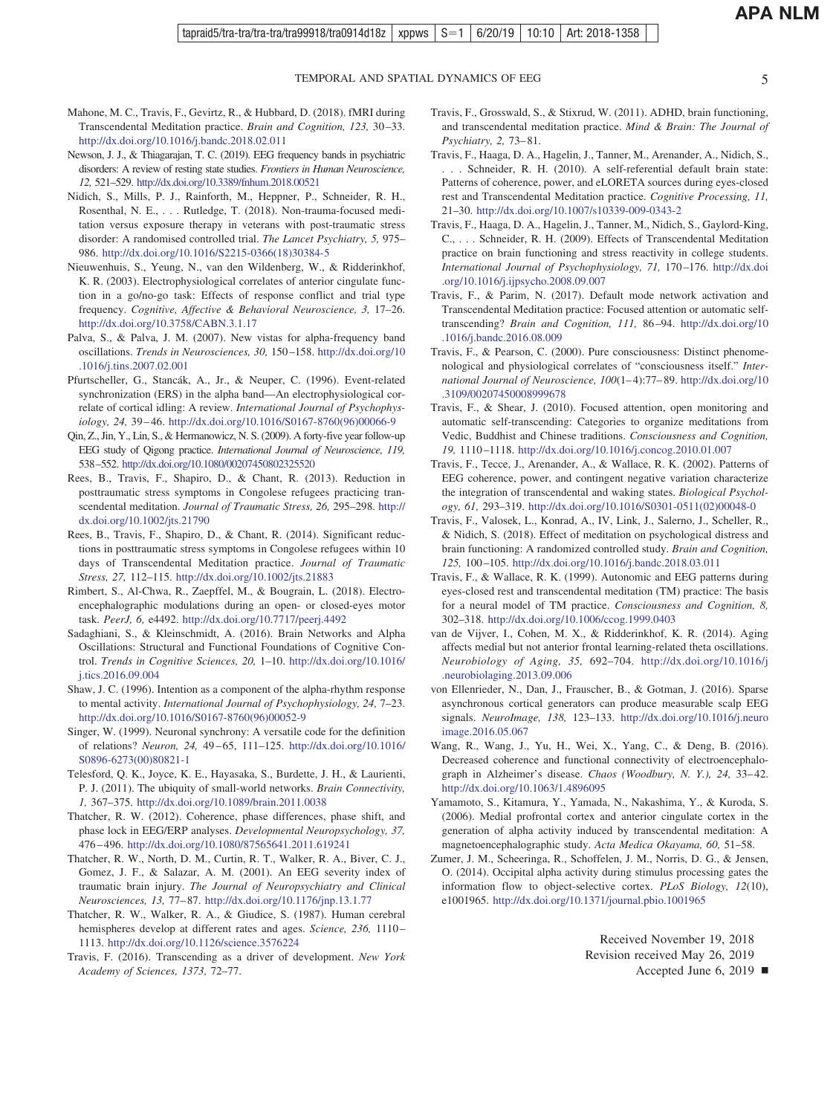TEMPORAL AND SPATIAL DYNAMICS OF EEG 5

- <span id="page-4-0"></span>Mahone, M. C., Travis, F., Gevirtz, R., & Hubbard, D. (2018). fMRI during Transcendental Meditation practice. *Brain and Cognition, 123,* 30 –33. <http://dx.doi.org/10.1016/j.bandc.2018.02.011>
- Newson, J. J., & Thiagarajan, T. C. (2019). EEG frequency bands in psychiatric disorders: A review of resting state studies. *Frontiers in Human Neuroscience, 12,* 521–529. <http://dx.doi.org/10.3389/fnhum.2018.00521>
- Nidich, S., Mills, P. J., Rainforth, M., Heppner, P., Schneider, R. H., Rosenthal, N. E.,... Rutledge, T. (2018). Non-trauma-focused meditation versus exposure therapy in veterans with post-traumatic stress disorder: A randomised controlled trial. *The Lancet Psychiatry, 5,* 975– 986. [http://dx.doi.org/10.1016/S2215-0366\(18\)30384-5](http://dx.doi.org/10.1016/S2215-0366%2818%2930384-5)
- Nieuwenhuis, S., Yeung, N., van den Wildenberg, W., & Ridderinkhof, K. R. (2003). Electrophysiological correlates of anterior cingulate function in a go/no-go task: Effects of response conflict and trial type frequency. *Cognitive, Affective & Behavioral Neuroscience, 3,* 17–26. <http://dx.doi.org/10.3758/CABN.3.1.17>
- Palva, S., & Palva, J. M. (2007). New vistas for alpha-frequency band oscillations. *Trends in Neurosciences, 30,* 150 –158. [http://dx.doi.org/10](http://dx.doi.org/10.1016/j.tins.2007.02.001) [.1016/j.tins.2007.02.001](http://dx.doi.org/10.1016/j.tins.2007.02.001)
- Pfurtscheller, G., Stancák, A., Jr., & Neuper, C. (1996). Event-related synchronization (ERS) in the alpha band—An electrophysiological correlate of cortical idling: A review. *International Journal of Psychophysiology, 24,* 39 – 46. [http://dx.doi.org/10.1016/S0167-8760\(96\)00066-9](http://dx.doi.org/10.1016/S0167-8760%2896%2900066-9)
- Qin, Z., Jin, Y., Lin, S., & Hermanowicz, N. S. (2009). A forty-five year follow-up EEG study of Qigong practice. *International Journal of Neuroscience, 119,* 538–552. <http://dx.doi.org/10.1080/00207450802325520>
- Rees, B., Travis, F., Shapiro, D., & Chant, R. (2013). Reduction in posttraumatic stress symptoms in Congolese refugees practicing transcendental meditation. *Journal of Traumatic Stress, 26,* 295–298. [http://](http://dx.doi.org/10.1002/jts.21790) [dx.doi.org/10.1002/jts.21790](http://dx.doi.org/10.1002/jts.21790)
- Rees, B., Travis, F., Shapiro, D., & Chant, R. (2014). Significant reductions in posttraumatic stress symptoms in Congolese refugees within 10 days of Transcendental Meditation practice. *Journal of Traumatic Stress, 27,* 112–115. <http://dx.doi.org/10.1002/jts.21883>
- Rimbert, S., Al-Chwa, R., Zaepffel, M., & Bougrain, L. (2018). Electroencephalographic modulations during an open- or closed-eyes motor task. *PeerJ, 6,* e4492. <http://dx.doi.org/10.7717/peerj.4492>
- Sadaghiani, S., & Kleinschmidt, A. (2016). Brain Networks and Alpha Oscillations: Structural and Functional Foundations of Cognitive Control. *Trends in Cognitive Sciences, 20,* 1–10. [http://dx.doi.org/10.1016/](http://dx.doi.org/10.1016/j.tics.2016.09.004) [j.tics.2016.09.004](http://dx.doi.org/10.1016/j.tics.2016.09.004)
- Shaw, J. C. (1996). Intention as a component of the alpha-rhythm response to mental activity. *International Journal of Psychophysiology, 24,* 7–23. [http://dx.doi.org/10.1016/S0167-8760\(96\)00052-9](http://dx.doi.org/10.1016/S0167-8760%2896%2900052-9)
- Singer, W. (1999). Neuronal synchrony: A versatile code for the definition of relations? *Neuron, 24,* 49 – 65, 111–125. [http://dx.doi.org/10.1016/](http://dx.doi.org/10.1016/S0896-6273%2800%2980821-1) [S0896-6273\(00\)80821-1](http://dx.doi.org/10.1016/S0896-6273%2800%2980821-1)
- Telesford, Q. K., Joyce, K. E., Hayasaka, S., Burdette, J. H., & Laurienti, P. J. (2011). The ubiquity of small-world networks. *Brain Connectivity, 1,* 367–375. <http://dx.doi.org/10.1089/brain.2011.0038>
- Thatcher, R. W. (2012). Coherence, phase differences, phase shift, and phase lock in EEG/ERP analyses. *Developmental Neuropsychology, 37,* 476 – 496. <http://dx.doi.org/10.1080/87565641.2011.619241>
- Thatcher, R. W., North, D. M., Curtin, R. T., Walker, R. A., Biver, C. J., Gomez, J. F., & Salazar, A. M. (2001). An EEG severity index of traumatic brain injury. *The Journal of Neuropsychiatry and Clinical Neurosciences, 13,* 77– 87. <http://dx.doi.org/10.1176/jnp.13.1.77>
- Thatcher, R. W., Walker, R. A., & Giudice, S. (1987). Human cerebral hemispheres develop at different rates and ages. *Science, 236,* 1110 – 1113. <http://dx.doi.org/10.1126/science.3576224>
- Travis, F. (2016). Transcending as a driver of development. *New York Academy of Sciences, 1373,* 72–77.
- Travis, F., Grosswald, S., & Stixrud, W. (2011). ADHD, brain functioning, and transcendental meditation practice. *Mind & Brain: The Journal of Psychiatry, 2,* 73– 81.
- Travis, F., Haaga, D. A., Hagelin, J., Tanner, M., Arenander, A., Nidich, S., . . . Schneider, R. H. (2010). A self-referential default brain state: Patterns of coherence, power, and eLORETA sources during eyes-closed rest and Transcendental Meditation practice. *Cognitive Processing, 11,* 21–30. <http://dx.doi.org/10.1007/s10339-009-0343-2>
- Travis, F., Haaga, D. A., Hagelin, J., Tanner, M., Nidich, S., Gaylord-King, C., . . . Schneider, R. H. (2009). Effects of Transcendental Meditation practice on brain functioning and stress reactivity in college students. *International Journal of Psychophysiology, 71,* 170 –176. [http://dx.doi](http://dx.doi.org/10.1016/j.ijpsycho.2008.09.007) [.org/10.1016/j.ijpsycho.2008.09.007](http://dx.doi.org/10.1016/j.ijpsycho.2008.09.007)
- Travis, F., & Parim, N. (2017). Default mode network activation and Transcendental Meditation practice: Focused attention or automatic selftranscending? *Brain and Cognition, 111,* 86 –94. [http://dx.doi.org/10](http://dx.doi.org/10.1016/j.bandc.2016.08.009) [.1016/j.bandc.2016.08.009](http://dx.doi.org/10.1016/j.bandc.2016.08.009)
- Travis, F., & Pearson, C. (2000). Pure consciousness: Distinct phenomenological and physiological correlates of "consciousness itself." *International Journal of Neuroscience, 100*(1– 4):77– 89. [http://dx.doi.org/10](http://dx.doi.org/10.3109/00207450008999678) [.3109/00207450008999678](http://dx.doi.org/10.3109/00207450008999678)
- Travis, F., & Shear, J. (2010). Focused attention, open monitoring and automatic self-transcending: Categories to organize meditations from Vedic, Buddhist and Chinese traditions. *Consciousness and Cognition, 19,* 1110 –1118. <http://dx.doi.org/10.1016/j.concog.2010.01.007>
- Travis, F., Tecce, J., Arenander, A., & Wallace, R. K. (2002). Patterns of EEG coherence, power, and contingent negative variation characterize the integration of transcendental and waking states. *Biological Psychology, 61,* 293–319. [http://dx.doi.org/10.1016/S0301-0511\(02\)00048-0](http://dx.doi.org/10.1016/S0301-0511%2802%2900048-0)
- Travis, F., Valosek, L., Konrad, A., IV, Link, J., Salerno, J., Scheller, R., & Nidich, S. (2018). Effect of meditation on psychological distress and brain functioning: A randomized controlled study. *Brain and Cognition, 125,* 100 –105. <http://dx.doi.org/10.1016/j.bandc.2018.03.011>
- Travis, F., & Wallace, R. K. (1999). Autonomic and EEG patterns during eyes-closed rest and transcendental meditation (TM) practice: The basis for a neural model of TM practice. *Consciousness and Cognition, 8,* 302–318. <http://dx.doi.org/10.1006/ccog.1999.0403>
- van de Vijver, I., Cohen, M. X., & Ridderinkhof, K. R. (2014). Aging affects medial but not anterior frontal learning-related theta oscillations. *Neurobiology of Aging, 35,* 692–704. [http://dx.doi.org/10.1016/j](http://dx.doi.org/10.1016/j.neurobiolaging.2013.09.006) [.neurobiolaging.2013.09.006](http://dx.doi.org/10.1016/j.neurobiolaging.2013.09.006)
- von Ellenrieder, N., Dan, J., Frauscher, B., & Gotman, J. (2016). Sparse asynchronous cortical generators can produce measurable scalp EEG signals. *NeuroImage, 138,* 123–133. [http://dx.doi.org/10.1016/j.neuro](http://dx.doi.org/10.1016/j.neuroimage.2016.05.067) [image.2016.05.067](http://dx.doi.org/10.1016/j.neuroimage.2016.05.067)
- Wang, R., Wang, J., Yu, H., Wei, X., Yang, C., & Deng, B. (2016). Decreased coherence and functional connectivity of electroencephalograph in Alzheimer's disease. *Chaos (Woodbury, N.Y.), 24, 33-42*. <http://dx.doi.org/10.1063/1.4896095>
- Yamamoto, S., Kitamura, Y., Yamada, N., Nakashima, Y., & Kuroda, S. (2006). Medial profrontal cortex and anterior cingulate cortex in the generation of alpha activity induced by transcendental meditation: A magnetoencephalographic study. *Acta Medica Okayama, 60,* 51–58.
- Zumer, J. M., Scheeringa, R., Schoffelen, J. M., Norris, D. G., & Jensen, O. (2014). Occipital alpha activity during stimulus processing gates the information flow to object-selective cortex. *PLoS Biology, 12*(10), e1001965. <http://dx.doi.org/10.1371/journal.pbio.1001965>

Received November 19, 2018 Revision received May 26, 2019 Accepted June 6, 2019  $\blacksquare$